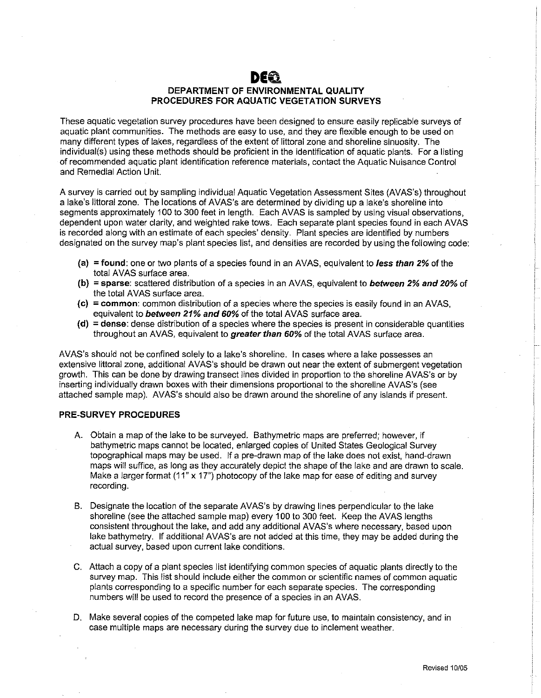## **DEil DEPARTMENT OF ENVIRONMENTAL QUALITY PROCEDURES FOR AQUATIC VEGETATION SURVEYS**

These aquatic vegetation survey procedures have been designed to ensure easily replicable surveys of aquatic plant communities. The methods are easy to use, and they are flexible enough to be used on many different types of lakes, regardless of the extent of littoral zone and shoreline sinuosity. The individual(s) using these methods should be proficient in the identification of aquatic plants. For a listing of recommended aquatic plant identification reference materials, contact the Aquatic Nuisance Control and Remedial Action Unit.

A survey is carried out by sampling individual Aquatic Vegetation Assessment Sites (AVAS's) throughout a lake's littoral zone. The locations of AVAS's are determined by dividing up a lake's shoreline into segments approximately 100 to 300 feet in length. Each AVAS is sampled by using visual observations, dependent upon water clarity, and weighted rake tows. Each separate plant species found in each AVAS is recorded along with an estimate of each species' density. Plant species are identified by numbers designated on the survey map's plant species list, and densities are recorded by using the following code:

- **(a) =found:** one or two plants of a species found in an AVAS, equivalent to **less than 2%** of the total AVAS surface area.
- **(b) =sparse:** scattered distribution of a species in an AVAS, equivalent to **between 2% and 20%** of the total AVAS surface area.
- **(c) =common:** common distribution of a species where the species is easily found in an AVAS, equivalent to **between 21% and 60%** of the total AVAS surface area.
- **(d) =dense:** dense distribution of a species where the species is present in considerable quantities throughout an AVAS, equivalent to **greater than 60%** of the total AVAS surface area.

A VAS's should not be confined solely to a lake's shoreline. In cases where a Jake possesses an extensive littoral zone, additional AVAS's should be drawn out near the extent of submergent vegetation growth. This can be done by drawing transect lines divided in proportion to the shoreline AVAS's or by inserting individually drawn boxes with their dimensions proportional to the shoreline A VAS's (see attached sample map). AVAS's should also be drawn around the shoreline of any islands if present.

## **PRE-SURVEY PROCEDURES**

- A. Obtain a map of the lake to be surveyed. Bathymetric maps are preferred; however, if bathymetric maps cannot be located, enlarged copies of United States Geological Survey topographical maps may be used. If a pre-drawn map of the lake does not exist, hand-drawn maps will suffice, as long as they accurately depict the shape of the lake and are drawn to scale. Make a larger format  $(11" x 17")$  photocopy of the lake map for ease of editing and survey recording.
- B. Designate the location of the separate AVAS's by drawing lines perpendicular to the lake shoreline (see the attached sample map) every 100 to 300 feet. Keep the AVAS lengths consistent throughout the lake, and add any additional AVAS's where necessary, based upon lake bathymetry. If additional AVAS's are not added at this time, they may be added during the actual survey, based upon current lake conditions.
- C. Attach a copy of a plant species Jist identifying common species of aquatic plants directly to the survey map. This list should include either the common or scientific names of common aquatic plants corresponding to a specific number for each separate species. The corresponding numbers will be used to record the presence of a species in an AVAS.
- D. Make several copies of the competed lake map for future use, to maintain consistency, and in case multiple maps are necessary during the survey due to inclement weather.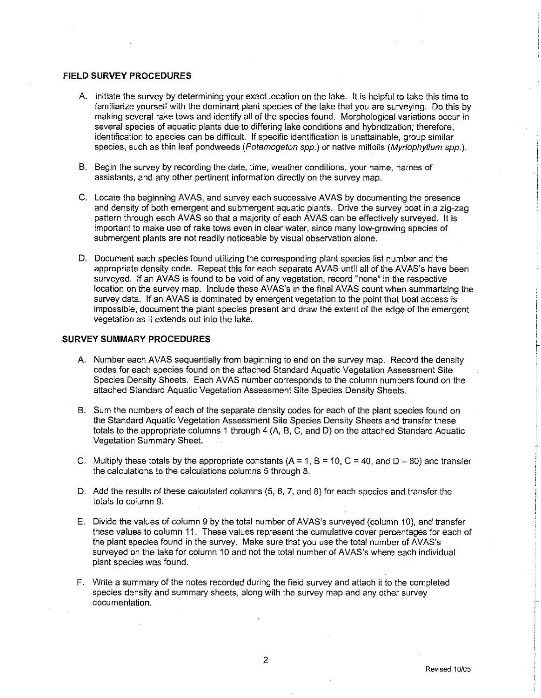## **FIELD SURVEY PROCEDURES**

- A. Initiate the survey by determining your exact location on the lake. It is helpful to take this time to familiarize yourself with the dominant plant species of the lake that you are surveying. Do this by making several rake tows and identify all of the species found. Morphological variations occur in several species of aquatic plants due to differing lake conditions and hybridization; therefore, identification to species can be difficult. If specific identification is unattainable, group similar species, such as thin leaf pondweeds (Potamogeton spp.) or native milfoils (Myriophyllum spp.).
- B. Begin the survey by recording the date, time, weather conditions, your name, names of assistants, and any other pertinent information directly on the survey map.
- C. Locate the beginning AVAS, and survey each successive AVAS by documenting the presence and density of both emergent and submergent aquatic plants. Drive the survey boat in a zig-zag pattern through each AVAS so that a majority of each AVAS can be effectively surveyed. It is important to make use of rake tows even in clear water, since many low-growing species of submergent plants are not readily noticeable by visual observation alone.
- D. Document each species found utilizing the corresponding plant species list number and the appropriate density code. Repeat this for each separate AVAS until all of the AVAS's have been surveyed. If an AVAS is found to be void of any vegetation, record "none" in the respective location on the survey map. Include these A VAS's in the final AVAS count when summarizing the survey data. If an AVAS is dominated by emergent vegetation to the point that boat access is impossible, document the plant species present and draw the extent of the edge of the emergent vegetation as it extends out into the lake.

## **SURVEY SUMMARY PROCEDURES**

- A. Number each AVAS sequentially from beginning to end on the survey map. Record the density codes for each species found on the attached Standard Aquatic Vegetation Assessment Site Species Density Sheets. Each AVAS number corresponds to the column numbers found on the attached Standard Aquatic Vegetation Assessment Site Species Density Sheets.
- B. Sum the numbers of each of the separate density codes for each of the plant species found on the Standard Aquatic Vegetation Assessment Site Species Density Sheets and transfer these totals to the appropriate columns 1 through 4 (A, B, C, and D) on the attached Standard Aquatic Vegetation Summary Sheet.
- C. Multiply these totals by the appropriate constants (A = 1, B = 10, C = 40, and D = 80) and transfer the calculations to the calculations columns 5 through 8.
- D. Add the results of these calculated columns (5, 6, 7, and 8) for each species and transfer the totals to column 9.
- E. Divide the values of column 9 by the total number of AVAS's surveyed (column 10), and transfer these values to column 11. These values represent the cumulative cover percentages for each of the plant species found in the survey. Make sure that you use the total number of AVAS's surveyed on the lake for column 10 and not the total number of AVAS's where each individual plant species was found.
- F. Write a summary of the notes recorded during the field survey and attach it to the completed species density and summary sheets, along with the survey map and any other survey documentation.